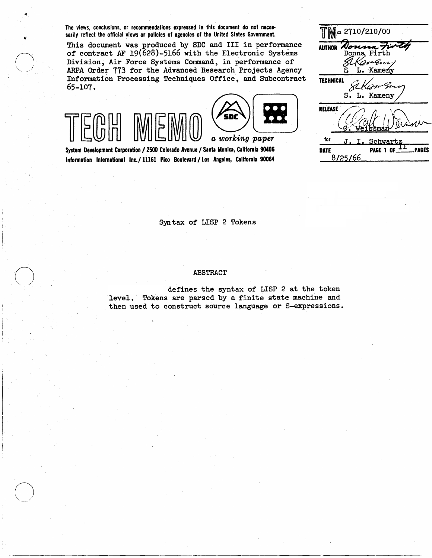The views, conclusions, or recommendations expressed in this document do not necessarily reflect the official views or policies of agencies of the United States Government.

This document was produced by SDC and III in performance of contract AF 19(628)-5166 with the Electronic Systems Division, Air Force Systems Command, in performance of ARPA Order 773 for the Advanced Research Projects Agency Information Processing Techniques Office, and Subcontract 65-107.



 $\bullet$  .

 $\sum_{i=1}^{n}$ 

 $\bigcirc$ 



System Development Corporation /2500. Colorado Avenue / Santa Monica, California 90406 Information International Inc./11161 Pico Boulevard / Los Angeles, California 90064

| $\text{M} = 2710/210/00$                       |  |  |  |  |
|------------------------------------------------|--|--|--|--|
| AUTHOR Nonna Fr                                |  |  |  |  |
| Donna Firth                                    |  |  |  |  |
|                                                |  |  |  |  |
| Kaman!                                         |  |  |  |  |
| L. Kameny                                      |  |  |  |  |
|                                                |  |  |  |  |
| TECHNICAL<br>Sikan<br>SCKamber<br>S. L. Kameny |  |  |  |  |
|                                                |  |  |  |  |
|                                                |  |  |  |  |
| RELEASE                                        |  |  |  |  |
| k≲m⊄                                           |  |  |  |  |
|                                                |  |  |  |  |
| for<br>Schwartz                                |  |  |  |  |
| <b>PAGE 1 OF</b><br>PAGI                       |  |  |  |  |
| DATE                                           |  |  |  |  |
| 8/25/                                          |  |  |  |  |

Syntax of LISP 2 Tokens

#### ABSTRACT

defines the syntax of LISP 2 at the token level. Tokens are parsed by a finite state machine and then used to construct source language or S-expressions.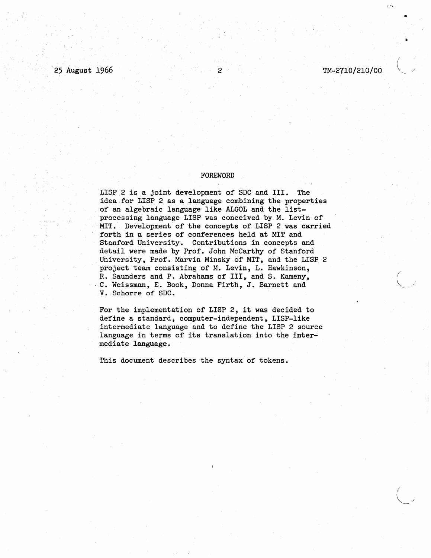·25 August *1966* 2 'l'M-2110/210/00

;; --..

..

I ~

 $\Big($ 

I  $\searrow$  ,  $\swarrow$ 

#### FOREWORD

LISP 2 is a joint development of SDC and III. The idea for LISP 2 as a language combining the properties of an algebraic language like ALGOL and the listprocessing language LISP was conceived by M. Levin of MIT. Development of the concepts of LISP 2 was carried forth in a series of conferences held at MIT and Stanford University. Contributions in concepts and detail were made by Prof. John McCarthy of Stanford University, Prof. Marvin Minsky of MIT, and the LISP 2 project team consisting of M. Levin, L. Hawkinson, R. Saunders and P. Abrahams of III, and S. Kameny, . C. Weissman, E. Book, Donna Firth, J. Barnett and v. Schorre of SDC.

For the implementation of LISP 2, it was decided to define a standard, computer-independent, LISP-like intermediate language and to define the LISP 2 source language in terms of its translation into the intermediate language.

This document describes the syntax of tokens.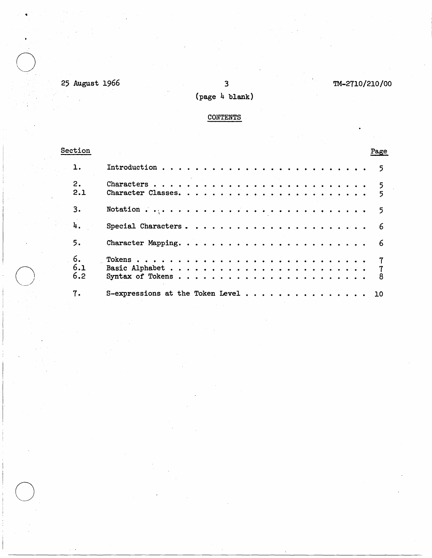25 August 1966 3

•

o

 $\bigcirc$ 

TM-27l0/2l0/00

(page 4 blank)

## CONTENTS

| Section          |                                                                                                                                                                                                                                                                                                                                                        | Page |
|------------------|--------------------------------------------------------------------------------------------------------------------------------------------------------------------------------------------------------------------------------------------------------------------------------------------------------------------------------------------------------|------|
| 1.               |                                                                                                                                                                                                                                                                                                                                                        |      |
| 2.<br>2.1        | Characters                                                                                                                                                                                                                                                                                                                                             |      |
| 3.               | Notation $\ldots$ , $\ldots$ , $\ldots$ , $\ldots$ , $\ldots$ , $\ldots$ , $\ldots$ , $\ldots$ , $\ldots$ , $\ldots$ , $\ldots$ , $\ldots$ , $\ldots$ , $\ldots$ , $\ldots$ , $\ldots$ , $\ldots$ , $\ldots$ , $\ldots$ , $\ldots$ , $\ldots$ , $\ldots$ , $\ldots$ , $\ldots$ , $\ldots$ , $\ldots$ , $\ldots$ , $\ldots$ , $\ldots$ , $\ldots$ , $\$ | 5    |
| 4.               |                                                                                                                                                                                                                                                                                                                                                        |      |
| 5.               |                                                                                                                                                                                                                                                                                                                                                        |      |
| 6.<br>6.1<br>6.2 |                                                                                                                                                                                                                                                                                                                                                        |      |
| 7.               |                                                                                                                                                                                                                                                                                                                                                        | 10   |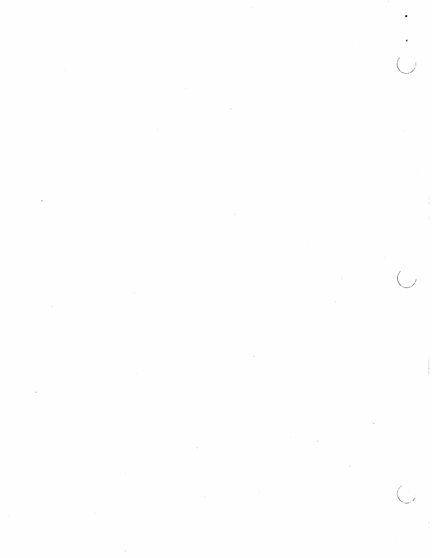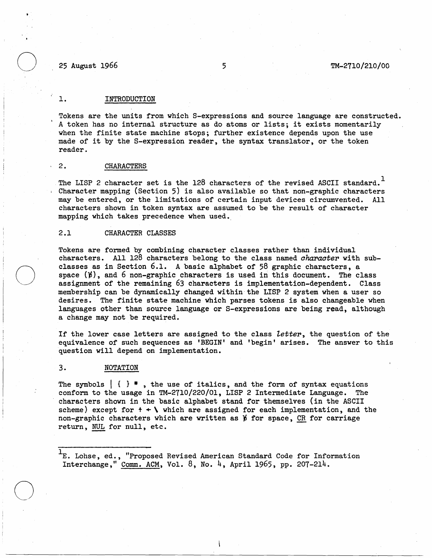#### 25 August 1966 5 TM-27l0/2l0/00

 $\bigcirc$ 

o

o

#### 1. INTRODUCTION

Tokens are the units from which S-expressions and source language are constructed. A token has no internal structure as do atoms or lists; it exists momentarily when the finite state machine stops; further existence depends upon the use made of it by the S-expression reader, the syntax translator, or the token reader.

#### 2. CHARACTERS

The LISP 2 character set is the  $128$  characters of the revised ASCII standard.<sup>1</sup> Character mapping (Section 5) is also available so that non-graphic characters may be entered, or the limitations of certain input devices circumvented. All characters shown in token syntax are assumed to be the result of character mapping which takes precedence when used.

#### 2.1 CHARACTER CLASSES

Tokens are formed by combining character classes rather than individual characters. All 128 characters belong to the class named *aharaater* with subclasses as in Section 6.1. A basic alphabet of 58 graphic characters, a space  $(\nmid \theta)$ , and 6 non-graphic characters is used in this document. The class assignment of the remaining 63 characters is implementation-dependent. Class membership can be dynamically changed within the LISP 2 system when a user so desires. The finite state machine which parses tokens is also changeable when languages other than source language or S-expressions are being read, although a change may not be required.

If the lower case letters are assigned to the class *letter,* the question of the equivalence of such sequences as 'BEGIN' and 'begin' arises. The answer to this question will depend on implementation.

#### 3. NOTATION

The symbols  $\begin{pmatrix} \cdot & \cdot & \cdot \\ \cdot & \cdot & \cdot \\ \cdot & \cdot & \cdot \end{pmatrix}$  the use of italics, and the form of syntax equations conform to the usage in TM-27l0/220/0l, LISP 2 Intermediate Language. The characters shown in the basic alphabet stand for themselves (in the ASCII scheme) except for  $t + \lambda$  which are assigned for each implementation, and the non-graphic characters which are written as  $\beta$  for space, CR for carriage return, NUL for null, etc.

 $1$ E. Lohse, ed., "Proposed Revised American Standard Code for Information Interchange," Comm. ACM, Vol. 8, No.4, April 1965, pp. 207-214.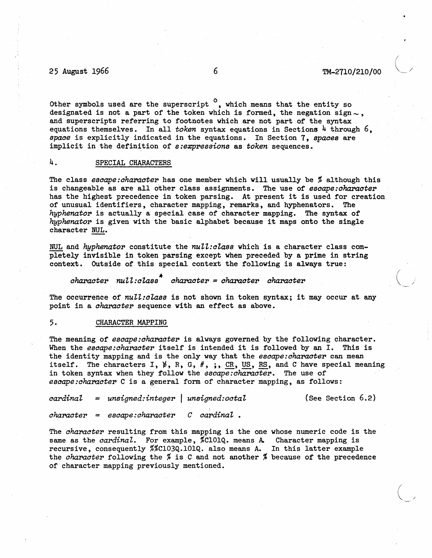### 25 August 1966 6 TM-2710/2l0/00

 $($ 

Other symbols used are the superscript  $\circ$ , which means that the entity so designated is not a part of the token which is formed, the negation sign $\sim$ , and superscripts referring to footnotes which are not part of the syntax equations themselves. In all *token* syntax equations in Sections  $\frac{1}{4}$  through  $6$ , space is explicitly indicated in the equations. In Section 7, spaces are implicit in the definition of s:expressions as *token* sequences.

#### 4. SPECIAL CHARACTERS

The class escape: character has one member which will usually be  $%$  although this is changeable as are all other class assignments. The use of *escape:character* has the highest precedence in token parsing. At present it is used for creation of unusual identifiers, character mapping, remarks, and hyphenators. The *hyphenator* is actually a special case of character mapping. The syntax of *hyphenator* is given with the basic alphabet because it maps onto the single character NUL.

NUL and *hyphenator* constitute the *null:class* which is a character class completely invisible in token parsing except when preceded by a prime in string context. Outside of this special context the following is always true:

<sup>~</sup>*charaater nuZZ:aZass aharaater* = *aharaater aharaater* 

The occurrence of *null: class* is not shown in token syntax; it may occur at any point in a *aharacter* sequence with an effect as above.

#### 5. CHARACTER MAPPING

The meaning of *escape:character* is always governed by the following character. When the *esaape:charaater* itself is intended it is followed by an I. This is the identity mapping and is the only way that the *escape:character* can mean itself. The characters I,  $\sharp$ , R, G,  $\sharp$ , ;, CR, US, RS, and C have special meaning in token syntax when they follow the *escape:character*. The use of *escape:charaater* C is a general form of character mapping, as follows:

*cardinaZ* = *unsigned:integer unsigned:octaZ*  (See Section 6.2)

*character* = *escape:character C cardinaZ* 

The *character* resulting from this mapping is the one whose numeric code is the same as the *cardinal*. For example, %C101Q. means A. recursive, consequently %%Cl03Q.101Q. also means A. In this latter example the *character* following the % is C and not another % because of the precedence of character mapping previously mentioned. Character mapping is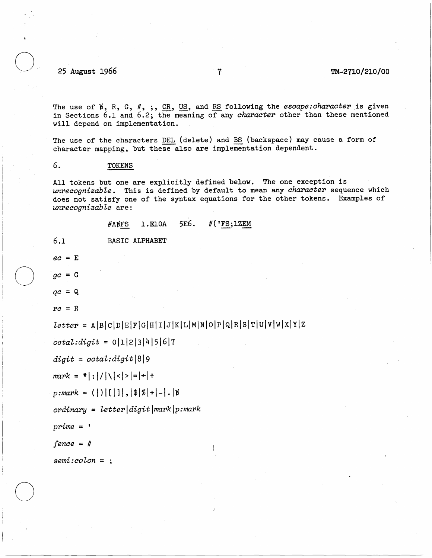25 August 1966

7

TM-2710/210/00

The use of  $\beta$ , R, G,  $\#$ , ;, CR, US, and RS following the *escape: character* is given in Sections 6.1 and 6.2; the meaning of any character other than these mentioned will depend on implementation.

The use of the characters DEL (delete) and BS (backspace) may cause a form of character mapping, but these also are implementation dependent.

6. TOKENS

All tokens but one are explicitly defined below. The one exception is unrecognizable. This is defined by default to mean any character sequence which does not satisfy one of the syntax equations for the other tokens. Examples of unrecognizable are:

5E6. 1.E10A  $\#$ ('FS;1ZEM  $#A$ b $FS$  $6.1$ BASIC ALPHABET  $ec = E$  $gc = G$  $qc = Q$  $rc = R$  $letter = A|B|C|D|E|F|G|H|I|J|K|L|M|N|O|P|Q|R|S|T|U|V|W|X|Y|Z$  $octal: digit = 0|1|2|3|4|5|6|7$  $digit = octal: digit|8|9$  $mark = * | : | / | \ | & | > | = | + | +$  $p: maxk = (||||[||||, ||\cdot|||| + ||-||, ||\cdot||)$  $ordinary = letter| digit|mark|prmark$  $prime =$ '  $fence = #$  $semicolon =$ ;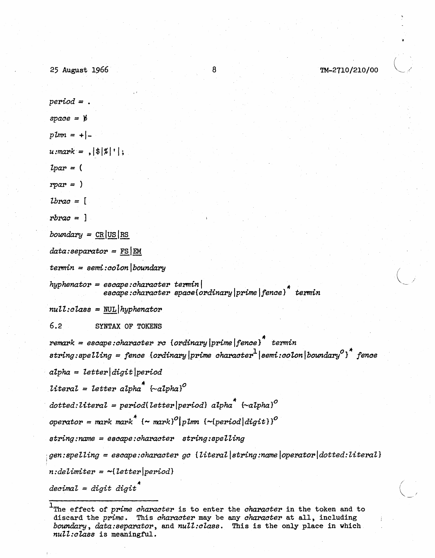25 August 1966

 $period =$ .  $space = \beta$  $p \, \text{Lmm} = + |$  $u : mark = , | \mathcal{F} | / | ;$  $lpar = ($  $rpar = 1$  $lbrace = [$  $rbrac =$ ] boundary =  $CR|US|RS$  $data:separator = FS|EM$  $termin = semi: colon|boundary$  $hyphenator = escape:character\ termin$ escape: character space(ordinary prime | fence) termin  $null:class = NULL$  hyphenator  $6.2$ SYNTAX OF TOKENS  $remark = escape: character \ re \ (ordinary | prime | fence) \ 'termi$ string:spelling = fence {ordinary|prime character<sup>1</sup>|semi:colon|boundary<sup>0</sup>}<sup>\*</sup> fence  $alpha = letter| digit|$ literal = letter alpha<sup>\*</sup>  $\left(\text{alpha}\right)^0$  $dotted:literal = period(letter|period)$   $alpha^*$  {~alpha}<sup>o</sup> operator = mark mark<sup>\*</sup> {~ mark}<sup>o</sup> | plmn {~{period} digit}}<sup>o</sup> string: name = escape: character string: spelling gen:spelling = escape:character gc {literal|string:name|operator|dotted:literal}  $n:delimiter = \neg (letter|period)$  $decimal = digit digit$ 

8

<sup>&</sup>lt;sup>1</sup>The effect of prime character is to enter the character in the token and to discard the prime. This character may be any character at all, including boundary, data: separator, and null: class. This is the only place in which null:class is meaningful.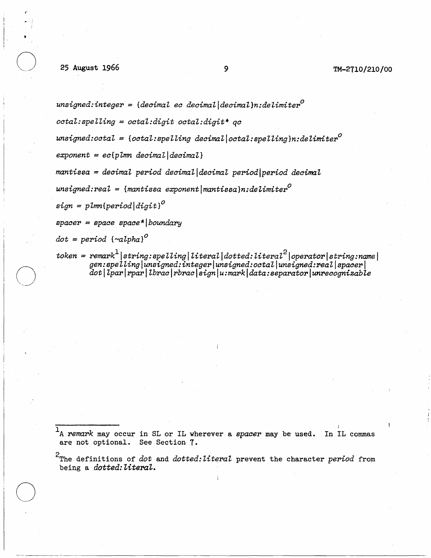o

o

unsigned:integer = *{decimal ec decimal}decimal}n:delimiter*<sup>O</sup>

*octaZ:speZZing* = *octaZ:digit octaZ:digit\* qc* 

 $using need: octal = {octal:spelling decimal|octal:spelling.$ 

 $exponent = ec(plmd decimal|decimaL)$ 

*mantissa* = *decimaZ period decimaZldecimaZ period* I *period decimaZ* 

*unsigned:reaZ* = *{mantissa exponentlmantissa}n:deZimiterO* 

 $sign = plm[period|digit]$ <sup>o</sup>

*spacer* = *space space\*lboundary* 

 $dot = period \{-\alpha lph\alpha\}^{\circ}$ 

*token* =  $\text{remark}^1|\text{string:}$  *spelling* | *literal*  $|$ *dotted: literal*<sup>2</sup> | *operator* | *string: name* | *gen:speZZinglunsigned:integerlunsigned:octaZlunsigned:reaZispacerl*   $\tilde{d}$ ot | Ipar | rpar | Ibrac | rbrac | sign | u:mark | data: separator | unrecognizable

lA *remark* may occur in SL or IL wherever a *spacer* may be used. In IL commas are not optional. See Section 7.

2The definitions of *dot* and *dotted:ZiteraZ* prevent the character *period* from being a *dotted: literal*.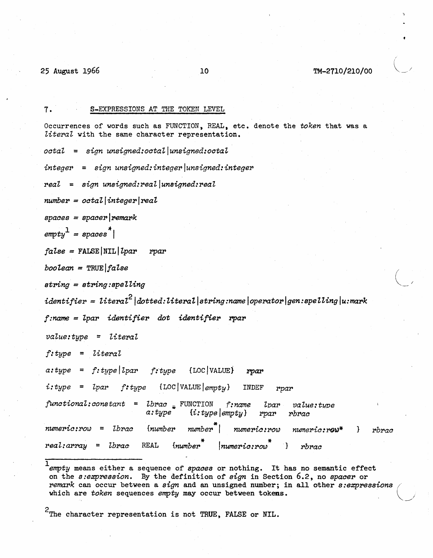rbrac

10

 $7.$ S-EXPRESSIONS AT THE TOKEN LEVEL

Occurrences of words such as FUNCTION, REAL, etc. denote the token that was a literal with the same character representation.

 $octal = sign$  unsigned: $octal$  unsigned: $octal$ 

 $integer = sign$  unsigned: integer unsigned: integer

 $real = sign$  unsigned: real | unsigned: real

 $number = octal|integer|real$ 

 $spaces = spaceer|remark$ 

 $empty^1 = spaces'$ 

 $false = FALSE|NIL|lpar$ rpar

 $boolean = TRUE | false$ 

 $string = string: spelling$ 

*identifier = literal*<sup>2</sup>  $|doted:literal|string; name|operator|gen: spelling|u:mark$ 

f:name = lpar identifier dot identifier rpar

 $value: type = literal$ 

 $f: type = literal$ 

 $f: type \qquad \text{LOC} | \text{VALUE} \}$  $a: type = f: type | lpar$ rpar

 $f: type \qquad \text{[LOC} | \text{VALUE} | empty)$  $i: type = lpar$ INDEF rpar

 $lbrace \cong$  FUNCTION  $functional:constant =$ value: type  $f$ : name lpar  $\{i: type | empty\}$ a:type rpar rbrac  $number$ <sup>"</sup>  $numeric: row =$ *lbrac*  ${number}$ numeric:row numeric:row\* }

 $real:array =$ **REAL** *{number}*  $|numeric:row\rangle$ *lbrac* rbrac

 $2$ The character representation is not TRUE, FALSE or NIL.

empty means either a sequence of spaces or nothing. It has no semantic effect on the s:expression. By the definition of sign in Section 6.2, no spacer or remark can occur between a sign and an unsigned number; in all other s: expressions which are token sequences empty may occur between tokens.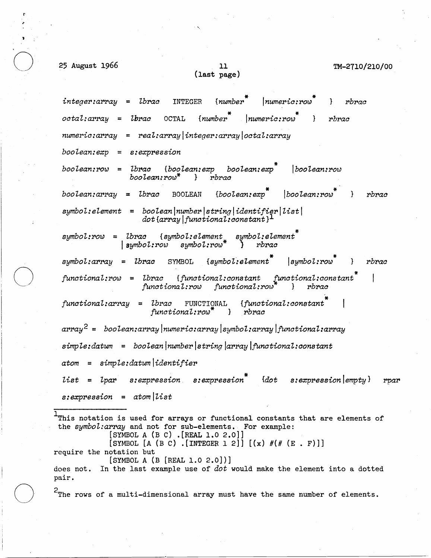25 August 1966 11

t

o

 $\overline{O}$ 

o

(last page)

TM-2710/210/00

 $integer: array = 1brace = 1$   $20%$   $10%$   $10%$   $10%$   $10%$   $10%$   $10%$   $10%$   $10%$   $10%$   $10%$   $10%$   $10%$   $10%$   $10%$   $10%$   $10%$   $10%$   $10%$   $10%$   $10%$   $10%$   $10%$   $10%$   $10%$   $10%$   $10%$   $10%$   $10%$   $10%$   $10%$   $10%$   $10%$   $10%$   $10%$ rbrac  $octal: array = 1  
  $2D$$ } ~braa  $numberic:array = real:array|interc:array|octal:array$  $boolean: exp = s: expression$ booZean:~UJ = Zb~aa *{booZean:exp booZean:exp* \* *boolean:row booZean:roUJ\** } *rbraa booZean:array* = *Zbrac* BOOLEAN *{booZean:exp* \* *IbooZean:roUJ* \* } *rbraa*  symbol:element = boolean|number|string|identifier|list|  $dot{array}$ |functional:constant}<sup>1</sup> symboZ:~oUJ = *Zbraa {symboZ:eZement symboZ:eZement* \*  $symbol{1:row}^*$ symbol:array = *lbrac* SYMBOL {symbol:element<sup>"</sup> |symbol:rov<sup>"</sup> } rbrac \* *functionaZ:roUJ* = *Zbrac {functionaZ:constant !unctionaZ:constant* funationaZ:~oUJ *functionaZ:roUJ* } ~braa *{functionaZ:aonstant* \* *functionaZ:array* = *Zbrac* FUNCTIONAL  $functional:row^*$  } *rbrac*  array<sup>2</sup> = boolean:array|numeric:array|symbol:array|functional:array simple:datum = boolean|number|string|array|functional:constant atom = simple:datum|identifier *list* = *Lpar s:expression s:expression* {dot *s:expression* empty} rpa~ s:exp~ession = *atomlZist*  This notation is used for arrays or functional constants that are elements of

the symbol: array and not for sub-elements. For example: [SYMBOL A (B C) . [REAL 1.0 2.0]] [SYMBOL [A (B C) . [INTEGER 1 2]]  $[(x)$   $\#(\# \ (E \ . \ F)]$ ] require the notation but [SYMBOL A (B [REAL 1.0 2.0])] does not. In the last example use of *dot* would make the element into a dotted pair.

 $2$ The rows of a multi-dimensional array must have the same number of elements.